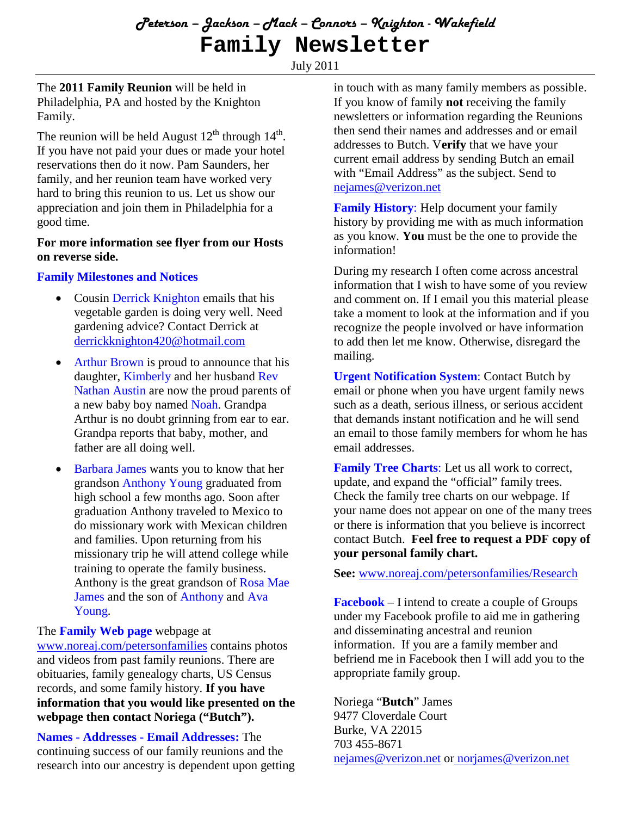July 2011

The **2011 Family Reunion** will be held in Philadelphia, PA and hosted by the Knighton Family.

The reunion will be held August  $12^{th}$  through  $14^{th}$ . If you have not paid your dues or made your hotel reservations then do it now. Pam Saunders, her family, and her reunion team have worked very hard to bring this reunion to us. Let us show our appreciation and join them in Philadelphia for a good time.

#### **For more information see flyer from our Hosts on reverse side.**

# **Family Milestones and Notices**

- Cousin Derrick Knighton emails that his vegetable garden is doing very well. Need gardening advice? Contact Derrick at derrickknighton420@hotmail.com
- Arthur Brown is proud to announce that his daughter, Kimberly and her husband Rev Nathan Austin are now the proud parents of a new baby boy named Noah. Grandpa Arthur is no doubt grinning from ear to ear. Grandpa reports that baby, mother, and father are all doing well.
- Barbara James wants you to know that her grandson Anthony Young graduated from high school a few months ago. Soon after graduation Anthony traveled to Mexico to do missionary work with Mexican children and families. Upon returning from his missionary trip he will attend college while training to operate the family business. Anthony is the great grandson of Rosa Mae James and the son of Anthony and Ava Young.

### The **Family Web page** webpage at

www.noreaj.com/petersonfamilies contains photos and videos from past family reunions. There are obituaries, family genealogy charts, US Census records, and some family history. **If you have information that you would like presented on the webpage then contact Noriega ("Butch").**

**Names - Addresses - Email Addresses:** The continuing success of our family reunions and the research into our ancestry is dependent upon getting in touch with as many family members as possible. If you know of family **not** receiving the family newsletters or information regarding the Reunions then send their names and addresses and or email addresses to Butch. V**erify** that we have your current email address by sending Butch an email with "Email Address" as the subject. Send to nejames@verizon.net

**Family History**: Help document your family history by providing me with as much information as you know. **You** must be the one to provide the information!

During my research I often come across ancestral information that I wish to have some of you review and comment on. If I email you this material please take a moment to look at the information and if you recognize the people involved or have information to add then let me know. Otherwise, disregard the mailing.

**Urgent Notification System**: Contact Butch by email or phone when you have urgent family news such as a death, serious illness, or serious accident that demands instant notification and he will send an email to those family members for whom he has email addresses.

**Family Tree Charts**: Let us all work to correct, update, and expand the "official" family trees. Check the family tree charts on our webpage. If your name does not appear on one of the many trees or there is information that you believe is incorrect contact Butch. **Feel free to request a PDF copy of your personal family chart.**

**See:** www.noreaj.com/petersonfamilies/Research

**Facebook** – I intend to create a couple of Groups under my Facebook profile to aid me in gathering and disseminating ancestral and reunion information. If you are a family member and befriend me in Facebook then I will add you to the appropriate family group.

Noriega "**Butch**" James 9477 Cloverdale Court Burke, VA 22015 703 455-8671 nejames@verizon.net or norjames@verizon.net